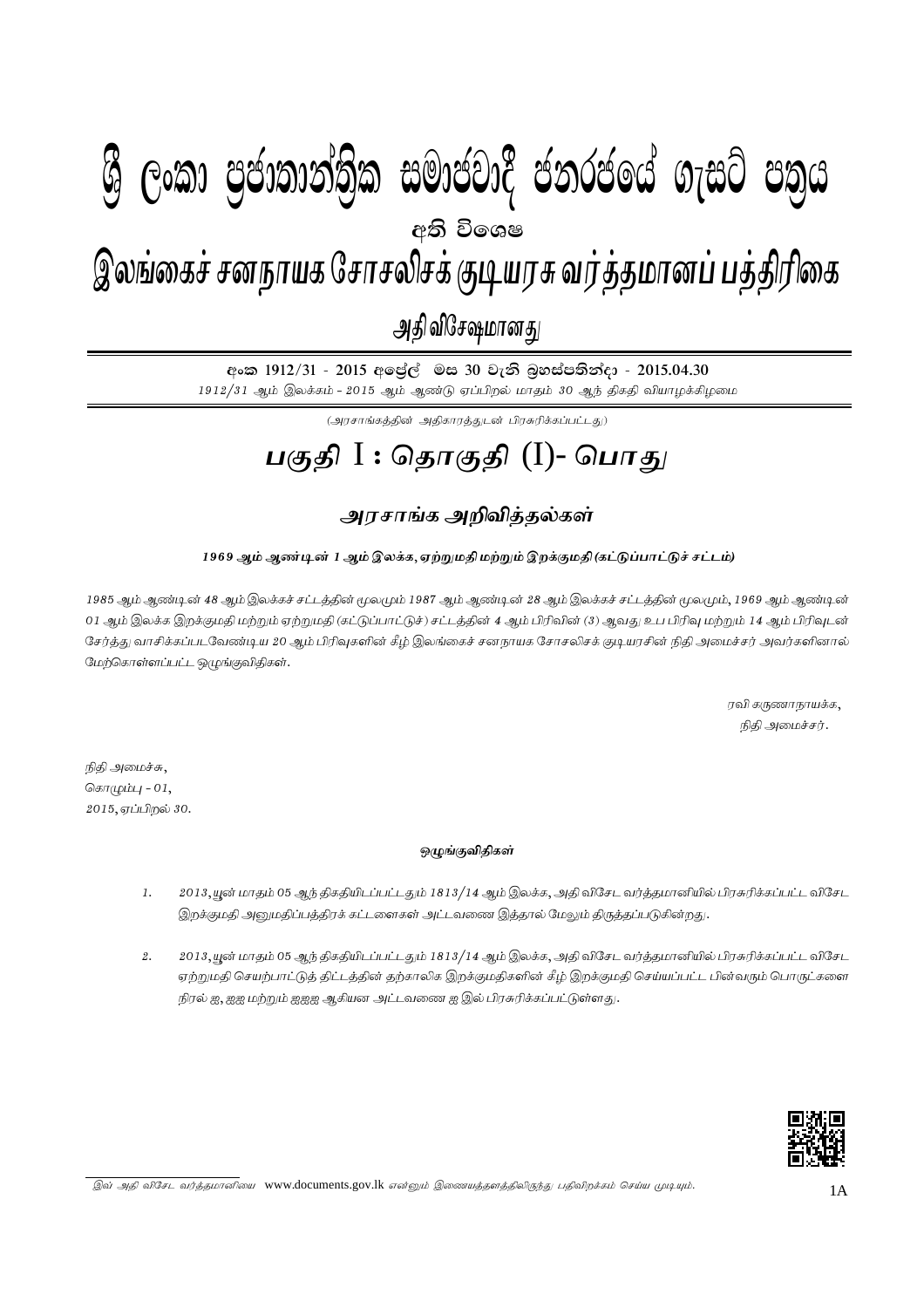# I **fldgi ( ^**I**& jeks fPoh - Y%S ,xld m%cd;dka;%sl iudcjd§ ckrcfha w;s úfYI .eiÜ m;%h - 2015'04'30** gFjp I : njhFjp (I) - ,yq;ifr; rdehaf Nrhryprf; FbauR tu;j;jkhdg; gj;jpupif - mjp tpN\rkhdJ - 2015.04.30 இலங்கைச் சனநாயக சோசலிசக் குடியரசு வர்த்தமானப் பத்திரிகை அதி விசேஷமானது  $\mathcal{B}$  George Conductions in the conduction  $\mathcal{B}$  . Conductional  $\mathcal{B}$ අති වි**ං**ශෂ

අංක 1912/31 - 2015 අලේල් මස 30 වැනි බුහස්පතින්දා - 2015.04.30 1912/31 ஆம் இலக்கம் - 2015 ஆம் ஆண்டு ஏப்பிறல் மாதம் 30 ஆந் திகதி வியாழக்கிழமை

 $\left(\bigcup_{i=1}^n\left(\sum_{j=1}^n\sum_{j=1}^n\sum_{j=1}^{n}\sum_{j=1}^{n}\sum_{j=1}^{n}\sum_{j=1}^{n}\sum_{j=1}^{n}\sum_{j=1}^{n}\sum_{j=1}^{n}\sum_{j=1}^{n}\sum_{j=1}^{n}\sum_{j=1}^{n}\sum_{j=1}^{n}\sum_{j=1}^{n}\sum_{j=1}^{n}\sum_{j=1}^{n}\sum_{j=1}^{n}\sum_{j=1}^{n}\sum_{j=1}^{n}\sum_{j=1}^{n}$ 

# பகுதி I : தொகுதி (I)- பொ<u>க</u>ு

### அரசாங்க அறிவித்தல்கள்

### .<br>1969 ஆம் ஆண்டின் 1 ஆம் இலக்க, ஏற்றுமதி மற்றும் இறக்குமதி(கட்டுப்பாட்டுச் சட்டம்)

1985 ஆம் ஆண்டின் 48 ஆம் இலக்கச் சட்டத்தின் மூலமும் 1987 ஆம் ஆண்டின் 28 ஆம் இலக்கச் சட்டத்தின் மூலமும், 1969 ஆம் ஆண்டின் 01 ஆம் இலக்க இறக்குமதி மற்றும் ஏற்றுமதி (கட்டுப்பாட்டுச்) சட்டத்தின் 4 ஆம் பிரிவின் (3) ஆவது உப பிரிவு மற்றும் 14 ஆம் பிரிவுடன் சேர்த்து வாசிக்கப்படவேண்டிய 20 ஆம் பிரிவுகளின் கீழ் இலங்கைச் சனநாயக சோசலிசக் குடியரசின் நிதி அமைச்சர் அவர்களினால மேற்கொள்ளப்பட்ட ஒழுங்குவிதிகள்.

> $\sigma$ வி கருணாநாயக்க $,$ நிதி அமைச்சர்.

நிதி அமைச்சு,  $\sqrt{a} \pi$  ( $\sqrt{a}$  )  $\sqrt{a}$  - 01,  $2015,$ ஏப்பிறல்  $30.$ 

#### **xOqFtpjpfs ; ;**

- 1. 2013, யூன் மாதம் 05 ஆந் திகதியிடப்பட்டதும் 1813/14 ஆம் இலக்க, அதி விசேட வர்த்தமானியில் பிரசுரிக்கப்பட்ட விசேட இறக்குமதி அறுமதிப்பத்திரக் கட்டளைகள் அட்டவணை இத்தால் மேலும் திருத்தப்படுகின்றது.
- 2. 2013, யூன் மாதம் 05 ஆந் திகதியிடப்பட்டதும் 1813/14 ஆம் இலக்க, அதி விசேட வர்த்தமானியில் பிரசுரிக்கப்பட்ட விசேட ஏற்றுமதி செயற்பாட்டுத் திட்டத்தின் தற்காலிக இறக்குமதிகளின் கீழ் இறக்குமதி செய்யப்பட்ட பின்வரும் பொருட்களை நிரல் ஐ, ஐஐ மற்றும் ஐஐஐ ஆகியன அட்டவணை ஐ இல் பிரசுரிக்கப்பட்டுள்ளது.



இவ் அதி விசேட வர்த்தமானியை www.documents.gov.lk என்னும் இணையத்தளத்திலிருந்து பதிவிறக்கம் செய்ய முடியும்.